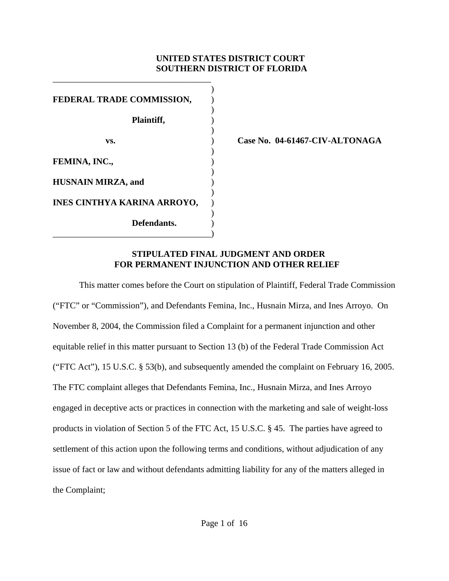## **UNITED STATES DISTRICT COURT SOUTHERN DISTRICT OF FLORIDA**

| FEDERAL TRADE COMMISSION,          |  |
|------------------------------------|--|
| Plaintiff,                         |  |
| VS.                                |  |
| FEMINA, INC.,                      |  |
| <b>HUSNAIN MIRZA, and</b>          |  |
| <b>INES CINTHYA KARINA ARROYO,</b> |  |
| Defendants.                        |  |

\_\_\_\_\_\_\_\_\_\_\_\_\_\_\_\_\_\_\_\_\_\_\_\_\_\_\_\_\_\_\_\_\_\_\_\_

**vs.** ) **Case No. 04-61467-CIV-ALTONAGA**

## **STIPULATED FINAL JUDGMENT AND ORDER FOR PERMANENT INJUNCTION AND OTHER RELIEF**

This matter comes before the Court on stipulation of Plaintiff, Federal Trade Commission ("FTC" or "Commission"), and Defendants Femina, Inc., Husnain Mirza, and Ines Arroyo. On November 8, 2004, the Commission filed a Complaint for a permanent injunction and other equitable relief in this matter pursuant to Section 13 (b) of the Federal Trade Commission Act ("FTC Act"), 15 U.S.C. § 53(b), and subsequently amended the complaint on February 16, 2005. The FTC complaint alleges that Defendants Femina, Inc., Husnain Mirza, and Ines Arroyo engaged in deceptive acts or practices in connection with the marketing and sale of weight-loss products in violation of Section 5 of the FTC Act, 15 U.S.C. § 45. The parties have agreed to settlement of this action upon the following terms and conditions, without adjudication of any issue of fact or law and without defendants admitting liability for any of the matters alleged in the Complaint;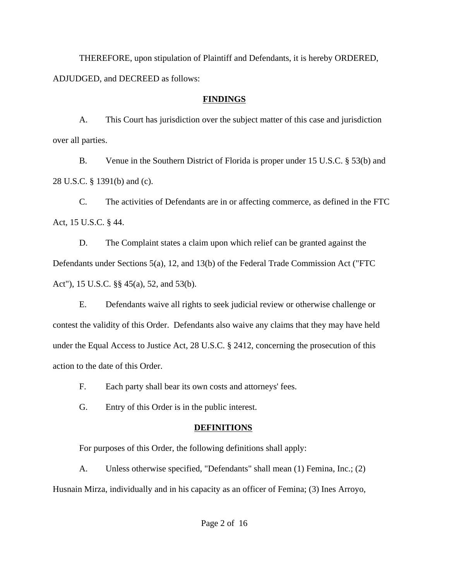THEREFORE, upon stipulation of Plaintiff and Defendants, it is hereby ORDERED, ADJUDGED, and DECREED as follows:

## **FINDINGS**

A. This Court has jurisdiction over the subject matter of this case and jurisdiction over all parties.

B. Venue in the Southern District of Florida is proper under 15 U.S.C. § 53(b) and 28 U.S.C. § 1391(b) and (c).

C. The activities of Defendants are in or affecting commerce, as defined in the FTC Act, 15 U.S.C. § 44.

D. The Complaint states a claim upon which relief can be granted against the Defendants under Sections 5(a), 12, and 13(b) of the Federal Trade Commission Act ("FTC Act"), 15 U.S.C. §§ 45(a), 52, and 53(b).

E. Defendants waive all rights to seek judicial review or otherwise challenge or contest the validity of this Order. Defendants also waive any claims that they may have held under the Equal Access to Justice Act, 28 U.S.C. § 2412, concerning the prosecution of this action to the date of this Order.

F. Each party shall bear its own costs and attorneys' fees.

G. Entry of this Order is in the public interest.

# **DEFINITIONS**

For purposes of this Order, the following definitions shall apply:

A. Unless otherwise specified, "Defendants" shall mean (1) Femina, Inc.; (2) Husnain Mirza, individually and in his capacity as an officer of Femina; (3) Ines Arroyo,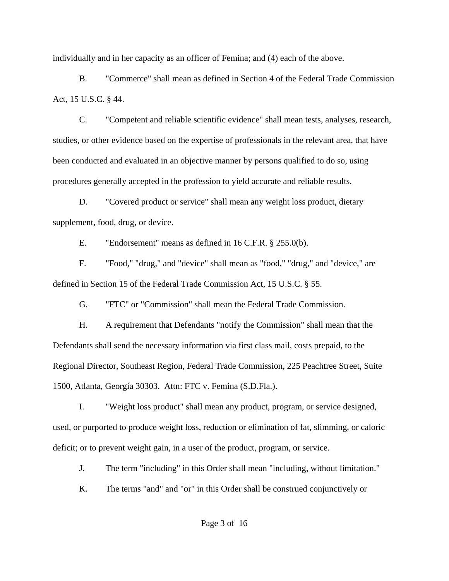individually and in her capacity as an officer of Femina; and (4) each of the above.

B. "Commerce" shall mean as defined in Section 4 of the Federal Trade Commission Act, 15 U.S.C. § 44.

C. "Competent and reliable scientific evidence" shall mean tests, analyses, research, studies, or other evidence based on the expertise of professionals in the relevant area, that have been conducted and evaluated in an objective manner by persons qualified to do so, using procedures generally accepted in the profession to yield accurate and reliable results.

D. "Covered product or service" shall mean any weight loss product, dietary supplement, food, drug, or device.

E. "Endorsement" means as defined in 16 C.F.R. § 255.0(b).

F. "Food," "drug," and "device" shall mean as "food," "drug," and "device," are defined in Section 15 of the Federal Trade Commission Act, 15 U.S.C. § 55.

G. "FTC" or "Commission" shall mean the Federal Trade Commission.

H. A requirement that Defendants "notify the Commission" shall mean that the Defendants shall send the necessary information via first class mail, costs prepaid, to the Regional Director, Southeast Region, Federal Trade Commission, 225 Peachtree Street, Suite 1500, Atlanta, Georgia 30303. Attn: FTC v. Femina (S.D.Fla.).

I. "Weight loss product" shall mean any product, program, or service designed, used, or purported to produce weight loss, reduction or elimination of fat, slimming, or caloric deficit; or to prevent weight gain, in a user of the product, program, or service.

J. The term "including" in this Order shall mean "including, without limitation."

K. The terms "and" and "or" in this Order shall be construed conjunctively or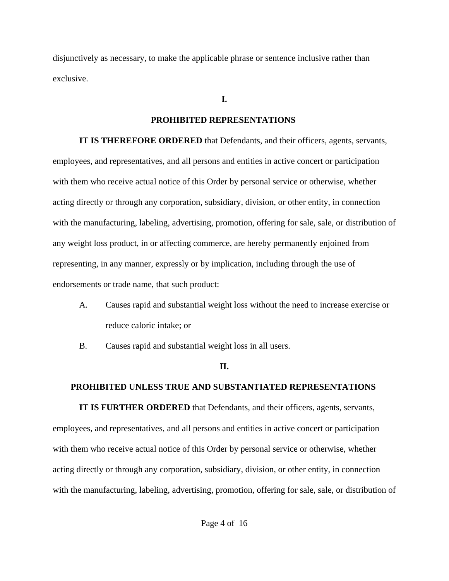disjunctively as necessary, to make the applicable phrase or sentence inclusive rather than exclusive.

#### **I.**

## **PROHIBITED REPRESENTATIONS**

**IT IS THEREFORE ORDERED** that Defendants, and their officers, agents, servants, employees, and representatives, and all persons and entities in active concert or participation with them who receive actual notice of this Order by personal service or otherwise, whether acting directly or through any corporation, subsidiary, division, or other entity, in connection with the manufacturing, labeling, advertising, promotion, offering for sale, sale, or distribution of any weight loss product, in or affecting commerce, are hereby permanently enjoined from representing, in any manner, expressly or by implication, including through the use of endorsements or trade name, that such product:

- A. Causes rapid and substantial weight loss without the need to increase exercise or reduce caloric intake; or
- B. Causes rapid and substantial weight loss in all users.

## **II.**

# **PROHIBITED UNLESS TRUE AND SUBSTANTIATED REPRESENTATIONS**

**IT IS FURTHER ORDERED** that Defendants, and their officers, agents, servants, employees, and representatives, and all persons and entities in active concert or participation with them who receive actual notice of this Order by personal service or otherwise, whether acting directly or through any corporation, subsidiary, division, or other entity, in connection with the manufacturing, labeling, advertising, promotion, offering for sale, sale, or distribution of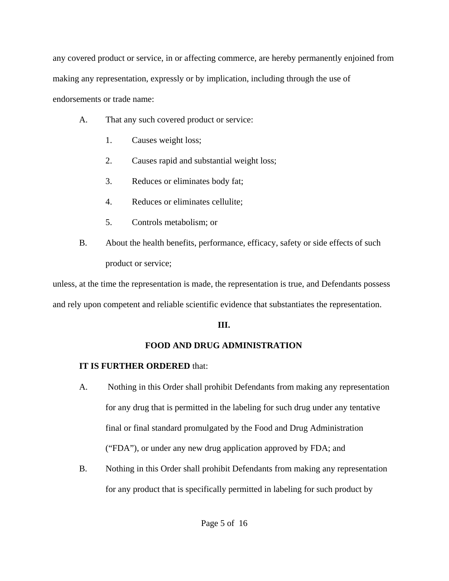any covered product or service, in or affecting commerce, are hereby permanently enjoined from making any representation, expressly or by implication, including through the use of endorsements or trade name:

- A. That any such covered product or service:
	- 1. Causes weight loss;
	- 2. Causes rapid and substantial weight loss;
	- 3. Reduces or eliminates body fat;
	- 4. Reduces or eliminates cellulite;
	- 5. Controls metabolism; or
- B. About the health benefits, performance, efficacy, safety or side effects of such product or service;

unless, at the time the representation is made, the representation is true, and Defendants possess and rely upon competent and reliable scientific evidence that substantiates the representation.

# **III.**

# **FOOD AND DRUG ADMINISTRATION**

# **IT IS FURTHER ORDERED** that:

- A. Nothing in this Order shall prohibit Defendants from making any representation for any drug that is permitted in the labeling for such drug under any tentative final or final standard promulgated by the Food and Drug Administration ("FDA"), or under any new drug application approved by FDA; and
- B. Nothing in this Order shall prohibit Defendants from making any representation for any product that is specifically permitted in labeling for such product by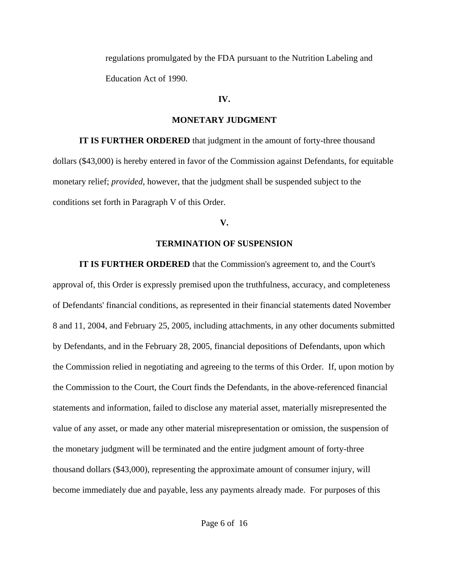regulations promulgated by the FDA pursuant to the Nutrition Labeling and Education Act of 1990.

### **IV.**

### **MONETARY JUDGMENT**

**IT IS FURTHER ORDERED** that judgment in the amount of forty-three thousand dollars (\$43,000) is hereby entered in favor of the Commission against Defendants, for equitable monetary relief; *provided*, however, that the judgment shall be suspended subject to the conditions set forth in Paragraph V of this Order.

## **V.**

## **TERMINATION OF SUSPENSION**

**IT IS FURTHER ORDERED** that the Commission's agreement to, and the Court's approval of, this Order is expressly premised upon the truthfulness, accuracy, and completeness of Defendants' financial conditions, as represented in their financial statements dated November 8 and 11, 2004, and February 25, 2005, including attachments, in any other documents submitted by Defendants, and in the February 28, 2005, financial depositions of Defendants, upon which the Commission relied in negotiating and agreeing to the terms of this Order. If, upon motion by the Commission to the Court, the Court finds the Defendants, in the above-referenced financial statements and information, failed to disclose any material asset, materially misrepresented the value of any asset, or made any other material misrepresentation or omission, the suspension of the monetary judgment will be terminated and the entire judgment amount of forty-three thousand dollars (\$43,000), representing the approximate amount of consumer injury, will become immediately due and payable, less any payments already made. For purposes of this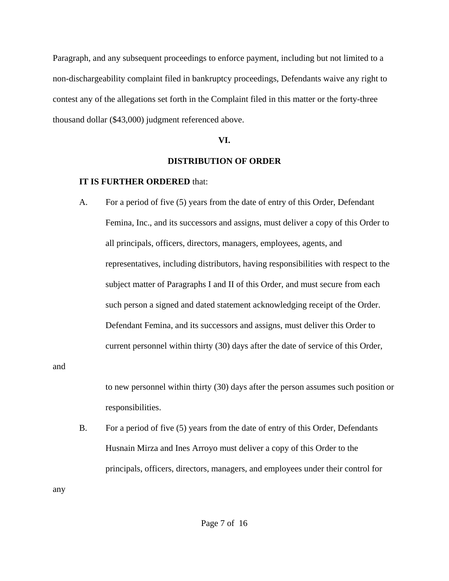Paragraph, and any subsequent proceedings to enforce payment, including but not limited to a non-dischargeability complaint filed in bankruptcy proceedings, Defendants waive any right to contest any of the allegations set forth in the Complaint filed in this matter or the forty-three thousand dollar (\$43,000) judgment referenced above.

#### **VI.**

#### **DISTRIBUTION OF ORDER**

#### **IT IS FURTHER ORDERED** that:

A. For a period of five (5) years from the date of entry of this Order, Defendant Femina, Inc., and its successors and assigns, must deliver a copy of this Order to all principals, officers, directors, managers, employees, agents, and representatives, including distributors, having responsibilities with respect to the subject matter of Paragraphs I and II of this Order, and must secure from each such person a signed and dated statement acknowledging receipt of the Order. Defendant Femina, and its successors and assigns, must deliver this Order to current personnel within thirty (30) days after the date of service of this Order,

and

to new personnel within thirty (30) days after the person assumes such position or responsibilities.

B. For a period of five (5) years from the date of entry of this Order, Defendants Husnain Mirza and Ines Arroyo must deliver a copy of this Order to the principals, officers, directors, managers, and employees under their control for

any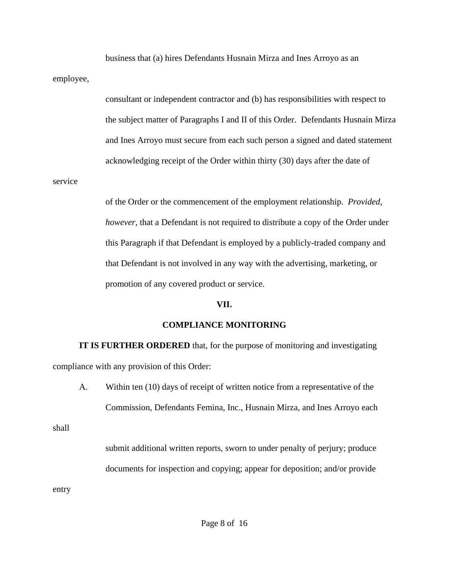business that (a) hires Defendants Husnain Mirza and Ines Arroyo as an employee,

> consultant or independent contractor and (b) has responsibilities with respect to the subject matter of Paragraphs I and II of this Order. Defendants Husnain Mirza and Ines Arroyo must secure from each such person a signed and dated statement acknowledging receipt of the Order within thirty (30) days after the date of

service

of the Order or the commencement of the employment relationship. *Provided, however*, that a Defendant is not required to distribute a copy of the Order under this Paragraph if that Defendant is employed by a publicly-traded company and that Defendant is not involved in any way with the advertising, marketing, or promotion of any covered product or service.

#### **VII.**

## **COMPLIANCE MONITORING**

**IT IS FURTHER ORDERED** that, for the purpose of monitoring and investigating compliance with any provision of this Order:

A. Within ten (10) days of receipt of written notice from a representative of the Commission, Defendants Femina, Inc., Husnain Mirza, and Ines Arroyo each

shall

submit additional written reports, sworn to under penalty of perjury; produce documents for inspection and copying; appear for deposition; and/or provide

entry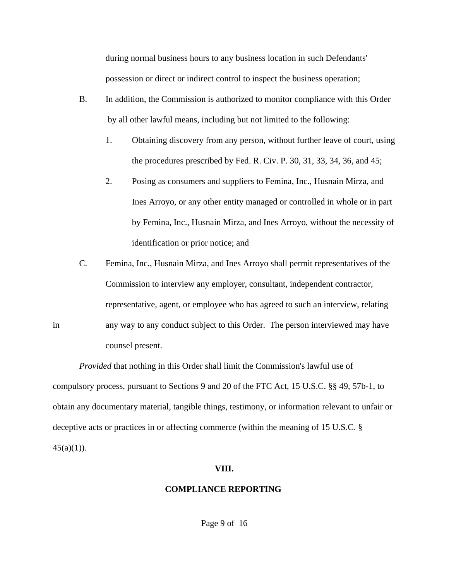during normal business hours to any business location in such Defendants' possession or direct or indirect control to inspect the business operation;

- B. In addition, the Commission is authorized to monitor compliance with this Order by all other lawful means, including but not limited to the following:
	- 1. Obtaining discovery from any person, without further leave of court, using the procedures prescribed by Fed. R. Civ. P. 30, 31, 33, 34, 36, and 45;
	- 2. Posing as consumers and suppliers to Femina, Inc., Husnain Mirza, and Ines Arroyo, or any other entity managed or controlled in whole or in part by Femina, Inc., Husnain Mirza, and Ines Arroyo, without the necessity of identification or prior notice; and
- C. Femina, Inc., Husnain Mirza, and Ines Arroyo shall permit representatives of the Commission to interview any employer, consultant, independent contractor, representative, agent, or employee who has agreed to such an interview, relating in any way to any conduct subject to this Order. The person interviewed may have counsel present.

*Provided* that nothing in this Order shall limit the Commission's lawful use of compulsory process, pursuant to Sections 9 and 20 of the FTC Act, 15 U.S.C. §§ 49, 57b-1, to obtain any documentary material, tangible things, testimony, or information relevant to unfair or deceptive acts or practices in or affecting commerce (within the meaning of 15 U.S.C. §  $45(a)(1)$ ).

#### **VIII.**

#### **COMPLIANCE REPORTING**

Page 9 of 16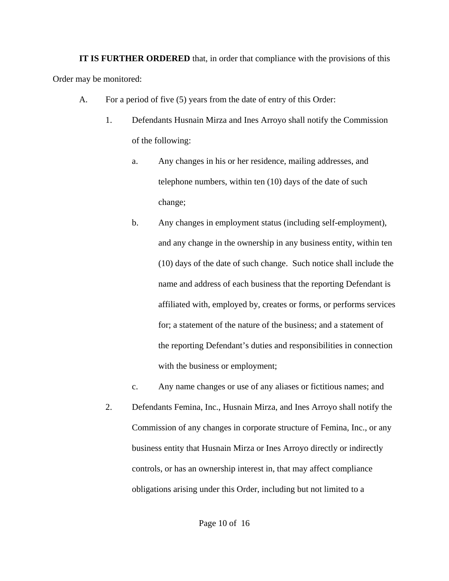**IT IS FURTHER ORDERED** that, in order that compliance with the provisions of this Order may be monitored:

- A. For a period of five (5) years from the date of entry of this Order:
	- 1. Defendants Husnain Mirza and Ines Arroyo shall notify the Commission of the following:
		- a. Any changes in his or her residence, mailing addresses, and telephone numbers, within ten (10) days of the date of such change;
		- b. Any changes in employment status (including self-employment), and any change in the ownership in any business entity, within ten (10) days of the date of such change. Such notice shall include the name and address of each business that the reporting Defendant is affiliated with, employed by, creates or forms, or performs services for; a statement of the nature of the business; and a statement of the reporting Defendant's duties and responsibilities in connection with the business or employment;
		- c. Any name changes or use of any aliases or fictitious names; and
	- 2. Defendants Femina, Inc., Husnain Mirza, and Ines Arroyo shall notify the Commission of any changes in corporate structure of Femina, Inc., or any business entity that Husnain Mirza or Ines Arroyo directly or indirectly controls, or has an ownership interest in, that may affect compliance obligations arising under this Order, including but not limited to a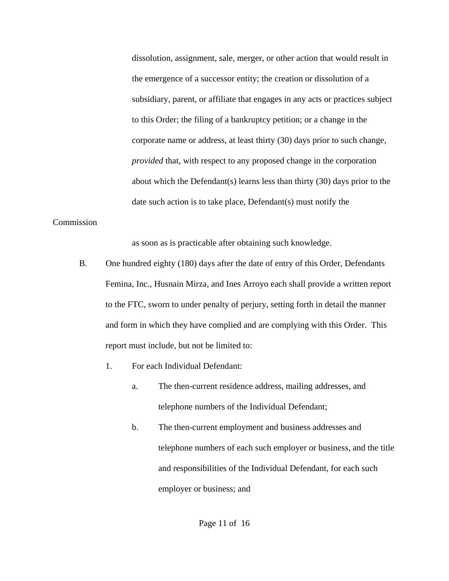dissolution, assignment, sale, merger, or other action that would result in the emergence of a successor entity; the creation or dissolution of a subsidiary, parent, or affiliate that engages in any acts or practices subject to this Order; the filing of a bankruptcy petition; or a change in the corporate name or address, at least thirty (30) days prior to such change, *provided* that, with respect to any proposed change in the corporation about which the Defendant(s) learns less than thirty (30) days prior to the date such action is to take place, Defendant(s) must notify the

### Commission

as soon as is practicable after obtaining such knowledge.

- B. One hundred eighty (180) days after the date of entry of this Order, Defendants Femina, Inc., Husnain Mirza, and Ines Arroyo each shall provide a written report to the FTC, sworn to under penalty of perjury, setting forth in detail the manner and form in which they have complied and are complying with this Order. This report must include, but not be limited to:
	- 1. For each Individual Defendant:
		- a. The then-current residence address, mailing addresses, and telephone numbers of the Individual Defendant;
		- b. The then-current employment and business addresses and telephone numbers of each such employer or business, and the title and responsibilities of the Individual Defendant, for each such employer or business; and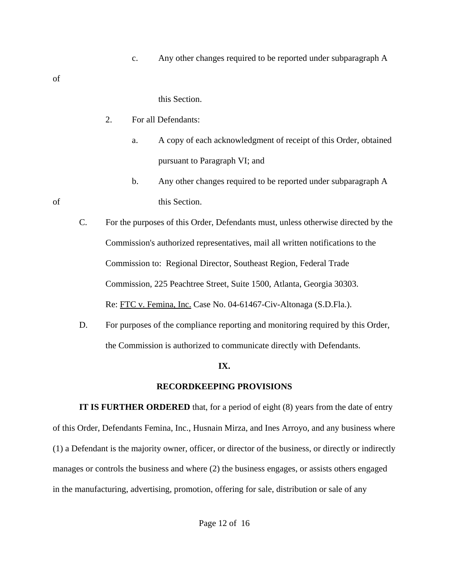c. Any other changes required to be reported under subparagraph A

this Section.

- 2. For all Defendants:
	- a. A copy of each acknowledgment of receipt of this Order, obtained pursuant to Paragraph VI; and
- b. Any other changes required to be reported under subparagraph A of this Section.
	- C. For the purposes of this Order, Defendants must, unless otherwise directed by the Commission's authorized representatives, mail all written notifications to the Commission to: Regional Director, Southeast Region, Federal Trade Commission, 225 Peachtree Street, Suite 1500, Atlanta, Georgia 30303. Re: FTC v. Femina, Inc. Case No. 04-61467-Civ-Altonaga (S.D.Fla.).
	- D. For purposes of the compliance reporting and monitoring required by this Order, the Commission is authorized to communicate directly with Defendants.

## **IX.**

## **RECORDKEEPING PROVISIONS**

**IT IS FURTHER ORDERED** that, for a period of eight (8) years from the date of entry of this Order, Defendants Femina, Inc., Husnain Mirza, and Ines Arroyo, and any business where (1) a Defendant is the majority owner, officer, or director of the business, or directly or indirectly manages or controls the business and where (2) the business engages, or assists others engaged in the manufacturing, advertising, promotion, offering for sale, distribution or sale of any

of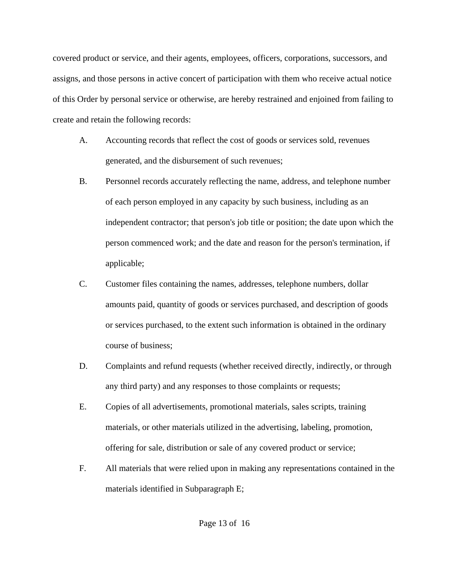covered product or service, and their agents, employees, officers, corporations, successors, and assigns, and those persons in active concert of participation with them who receive actual notice of this Order by personal service or otherwise, are hereby restrained and enjoined from failing to create and retain the following records:

- A. Accounting records that reflect the cost of goods or services sold, revenues generated, and the disbursement of such revenues;
- B. Personnel records accurately reflecting the name, address, and telephone number of each person employed in any capacity by such business, including as an independent contractor; that person's job title or position; the date upon which the person commenced work; and the date and reason for the person's termination, if applicable;
- C. Customer files containing the names, addresses, telephone numbers, dollar amounts paid, quantity of goods or services purchased, and description of goods or services purchased, to the extent such information is obtained in the ordinary course of business;
- D. Complaints and refund requests (whether received directly, indirectly, or through any third party) and any responses to those complaints or requests;
- E. Copies of all advertisements, promotional materials, sales scripts, training materials, or other materials utilized in the advertising, labeling, promotion, offering for sale, distribution or sale of any covered product or service;
- F. All materials that were relied upon in making any representations contained in the materials identified in Subparagraph E;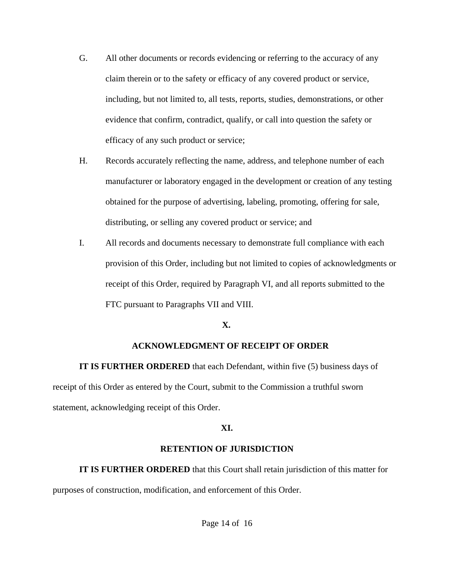- G. All other documents or records evidencing or referring to the accuracy of any claim therein or to the safety or efficacy of any covered product or service, including, but not limited to, all tests, reports, studies, demonstrations, or other evidence that confirm, contradict, qualify, or call into question the safety or efficacy of any such product or service;
- H. Records accurately reflecting the name, address, and telephone number of each manufacturer or laboratory engaged in the development or creation of any testing obtained for the purpose of advertising, labeling, promoting, offering for sale, distributing, or selling any covered product or service; and
- I. All records and documents necessary to demonstrate full compliance with each provision of this Order, including but not limited to copies of acknowledgments or receipt of this Order, required by Paragraph VI, and all reports submitted to the FTC pursuant to Paragraphs VII and VIII.

## **X.**

## **ACKNOWLEDGMENT OF RECEIPT OF ORDER**

**IT IS FURTHER ORDERED** that each Defendant, within five (5) business days of receipt of this Order as entered by the Court, submit to the Commission a truthful sworn statement, acknowledging receipt of this Order.

## **XI.**

## **RETENTION OF JURISDICTION**

**IT IS FURTHER ORDERED** that this Court shall retain jurisdiction of this matter for purposes of construction, modification, and enforcement of this Order.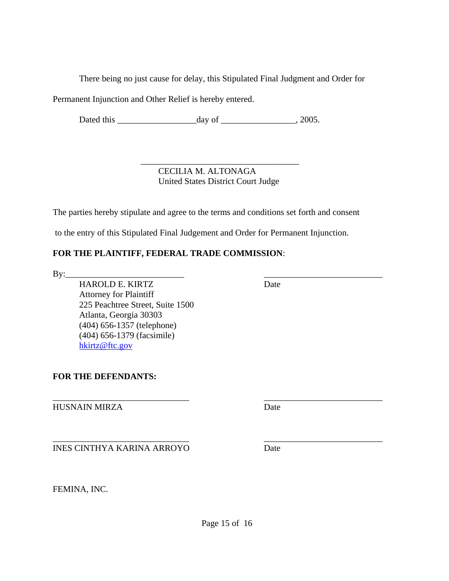There being no just cause for delay, this Stipulated Final Judgment and Order for

Permanent Injunction and Other Relief is hereby entered.

Dated this \_\_\_\_\_\_\_\_\_\_\_\_\_\_\_\_\_\_day of \_\_\_\_\_\_\_\_\_\_\_\_\_\_\_\_\_, 2005.

 \_\_\_\_\_\_\_\_\_\_\_\_\_\_\_\_\_\_\_\_\_\_\_\_\_\_\_\_\_\_\_\_\_\_\_\_ CECILIA M. ALTONAGA United States District Court Judge

The parties hereby stipulate and agree to the terms and conditions set forth and consent

to the entry of this Stipulated Final Judgement and Order for Permanent Injunction.

## **FOR THE PLAINTIFF, FEDERAL TRADE COMMISSION**:

By:\_\_\_\_\_\_\_\_\_\_\_\_\_\_\_\_\_\_\_\_\_\_\_\_\_\_\_ \_\_\_\_\_\_\_\_\_\_\_\_\_\_\_\_\_\_\_\_\_\_\_\_\_\_\_

HAROLD E. KIRTZ Date Attorney for Plaintiff 225 Peachtree Street, Suite 1500 Atlanta, Georgia 30303 (404) 656-1357 (telephone) (404) 656-1379 (facsimile) hkirtz@ftc.gov

**FOR THE DEFENDANTS:**

HUSNAIN MIRZA Date

\_\_\_\_\_\_\_\_\_\_\_\_\_\_\_\_\_\_\_\_\_\_\_\_\_\_\_\_\_\_\_ \_\_\_\_\_\_\_\_\_\_\_\_\_\_\_\_\_\_\_\_\_\_\_\_\_\_\_ INES CINTHYA KARINA ARROYO Date

FEMINA, INC.

\_\_\_\_\_\_\_\_\_\_\_\_\_\_\_\_\_\_\_\_\_\_\_\_\_\_\_\_\_\_\_ \_\_\_\_\_\_\_\_\_\_\_\_\_\_\_\_\_\_\_\_\_\_\_\_\_\_\_